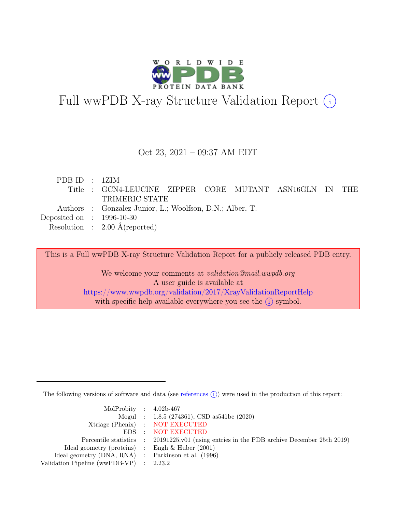

# Full wwPDB X-ray Structure Validation Report  $(i)$

#### Oct 23, 2021 – 09:37 AM EDT

| PDBID : 1ZIM                |                                                          |
|-----------------------------|----------------------------------------------------------|
|                             | Title : GCN4-LEUCINE ZIPPER CORE MUTANT ASN16GLN IN THE  |
|                             | TRIMERIC STATE                                           |
|                             | Authors : Gonzalez Junior, L.; Woolfson, D.N.; Alber, T. |
| Deposited on : $1996-10-30$ |                                                          |
|                             | Resolution : $2.00 \text{ Å}$ (reported)                 |

This is a Full wwPDB X-ray Structure Validation Report for a publicly released PDB entry.

We welcome your comments at *validation@mail.wwpdb.org* A user guide is available at <https://www.wwpdb.org/validation/2017/XrayValidationReportHelp> with specific help available everywhere you see the  $(i)$  symbol.

The following versions of software and data (see [references](https://www.wwpdb.org/validation/2017/XrayValidationReportHelp#references)  $\hat{I}$ ) were used in the production of this report:

| MolProbity : $4.02b-467$                            |                                                                                            |
|-----------------------------------------------------|--------------------------------------------------------------------------------------------|
|                                                     | Mogul : $1.8.5$ (274361), CSD as 541be (2020)                                              |
|                                                     | Xtriage (Phenix) : NOT EXECUTED                                                            |
|                                                     | EDS : NOT EXECUTED                                                                         |
|                                                     | Percentile statistics : 20191225.v01 (using entries in the PDB archive December 25th 2019) |
| Ideal geometry (proteins) : Engh $\&$ Huber (2001)  |                                                                                            |
| Ideal geometry (DNA, RNA) : Parkinson et al. (1996) |                                                                                            |
| Validation Pipeline (wwPDB-VP) : 2.23.2             |                                                                                            |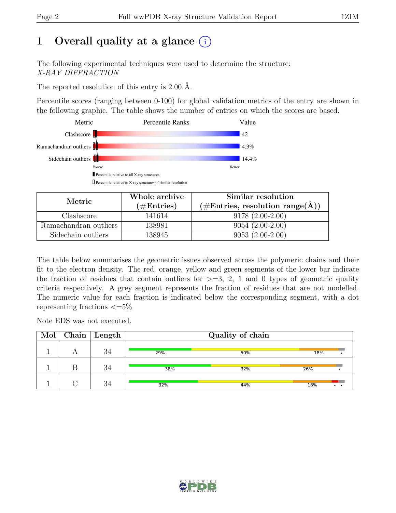# 1 Overall quality at a glance  $(i)$

The following experimental techniques were used to determine the structure: X-RAY DIFFRACTION

The reported resolution of this entry is 2.00 Å.

Percentile scores (ranging between 0-100) for global validation metrics of the entry are shown in the following graphic. The table shows the number of entries on which the scores are based.



| Metric                | Whole archive<br>$(\#Entries)$ | Similar resolution<br>$(\#\text{Entries}, \, \text{resolution range}(\text{\AA}))$ |
|-----------------------|--------------------------------|------------------------------------------------------------------------------------|
| Clashscore            | 141614                         | $9178(2.00-2.00)$                                                                  |
| Ramachandran outliers | 138981                         | $9054(2.00-2.00)$                                                                  |
| Sidechain outliers    | 138945                         | $9053(2.00-2.00)$                                                                  |

The table below summarises the geometric issues observed across the polymeric chains and their fit to the electron density. The red, orange, yellow and green segments of the lower bar indicate the fraction of residues that contain outliers for  $>=$  3, 2, 1 and 0 types of geometric quality criteria respectively. A grey segment represents the fraction of residues that are not modelled. The numeric value for each fraction is indicated below the corresponding segment, with a dot representing fractions  $\epsilon = 5\%$ 

Note EDS was not executed.

|  | Mol   Chain   Length |     | Quality of chain |                            |
|--|----------------------|-----|------------------|----------------------------|
|  | 34                   | 29% | 50%              | 18%                        |
|  | 34                   | 38% | 32%              | 26%                        |
|  | $\mathcal{R}$        | 32% | 44%              | 18%<br>$\bullet$ $\bullet$ |

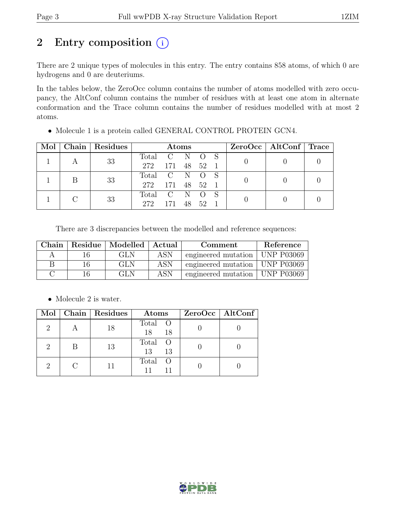# 2 Entry composition  $(i)$

There are 2 unique types of molecules in this entry. The entry contains 858 atoms, of which 0 are hydrogens and 0 are deuteriums.

In the tables below, the ZeroOcc column contains the number of atoms modelled with zero occupancy, the AltConf column contains the number of residues with at least one atom in alternate conformation and the Trace column contains the number of residues modelled with at most 2 atoms.

| Mol |    | Chain   Residues | Atoms         |             |  |  |  | $ZeroOcc \mid AltConf \mid Trace$ |  |
|-----|----|------------------|---------------|-------------|--|--|--|-----------------------------------|--|
|     |    | 33               | Total C N O S |             |  |  |  |                                   |  |
|     |    |                  | 272           | 171 48 52 1 |  |  |  |                                   |  |
|     |    | 33               | Total C N O S |             |  |  |  |                                   |  |
|     |    |                  | 272           | 171 48 52 1 |  |  |  |                                   |  |
|     |    |                  | Total C N O S |             |  |  |  |                                   |  |
|     | 33 | 272              | 171 48 52     |             |  |  |  |                                   |  |

• Molecule 1 is a protein called GENERAL CONTROL PROTEIN GCN4.

There are 3 discrepancies between the modelled and reference sequences:

| Chain |    | Residue   Modelled   Actual |     | Comment                          | Reference |
|-------|----|-----------------------------|-----|----------------------------------|-----------|
|       |    | GLN                         | ASN | engineered mutation   UNP P03069 |           |
|       | 16 | GLN                         | ASN | engineered mutation   UNP P03069 |           |
|       |    | GLN                         | ASN | engineered mutation   UNP P03069 |           |

• Molecule 2 is water.

| Mol                         | <b>Chain</b> Residues | Atoms                       | ZeroOcc   AltConf |
|-----------------------------|-----------------------|-----------------------------|-------------------|
| $\mathcal{D}_{\mathcal{A}}$ |                       | Total O<br>18<br>18         |                   |
| 2                           | 13                    | Total O<br>13<br>13         |                   |
| 9                           |                       | Total<br>$\left( \ \right)$ |                   |

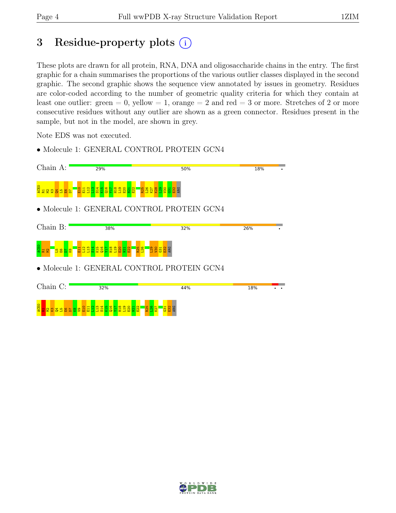# 3 Residue-property plots  $(i)$

These plots are drawn for all protein, RNA, DNA and oligosaccharide chains in the entry. The first graphic for a chain summarises the proportions of the various outlier classes displayed in the second graphic. The second graphic shows the sequence view annotated by issues in geometry. Residues are color-coded according to the number of geometric quality criteria for which they contain at least one outlier: green  $= 0$ , yellow  $= 1$ , orange  $= 2$  and red  $= 3$  or more. Stretches of 2 or more consecutive residues without any outlier are shown as a green connector. Residues present in the sample, but not in the model, are shown in grey.

Note EDS was not executed.

• Molecule 1: GENERAL CONTROL PROTEIN GCN4



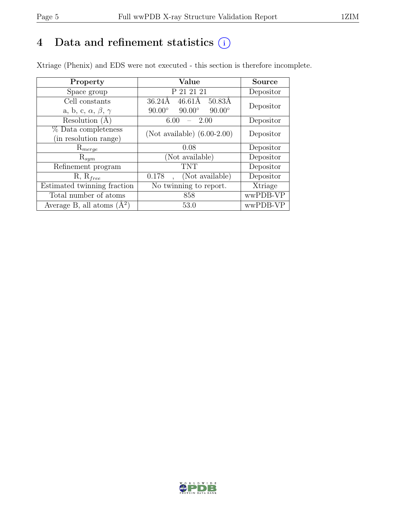# 4 Data and refinement statistics  $(i)$

Xtriage (Phenix) and EDS were not executed - this section is therefore incomplete.

| Property                               | Value                                           | <b>Source</b> |  |
|----------------------------------------|-------------------------------------------------|---------------|--|
| Space group                            | P 21 21 21                                      | Depositor     |  |
| Cell constants                         | 36.24Å<br>$46.61\text{\AA}$<br>50.83Å           | Depositor     |  |
| a, b, c, $\alpha$ , $\beta$ , $\gamma$ | $90.00^\circ$<br>$90.00^\circ$<br>$90.00^\circ$ |               |  |
| Resolution (A)                         | 2.00<br>6.00                                    | Depositor     |  |
| % Data completeness                    | (Not available) $(6.00-2.00)$                   | Depositor     |  |
| (in resolution range)                  |                                                 |               |  |
| $\mathrm{R}_{merge}$                   | 0.08                                            | Depositor     |  |
| $\mathrm{R}_{sym}$                     | (Not available)                                 | Depositor     |  |
| Refinement program                     | <b>TNT</b>                                      | Depositor     |  |
| $R, R_{free}$                          | (Not available)<br>0.178                        | Depositor     |  |
| Estimated twinning fraction            | No twinning to report.                          | Xtriage       |  |
| Total number of atoms                  | 858                                             | wwPDB-VP      |  |
| Average B, all atoms $(A^2)$           | 53.0                                            | wwPDB-VP      |  |

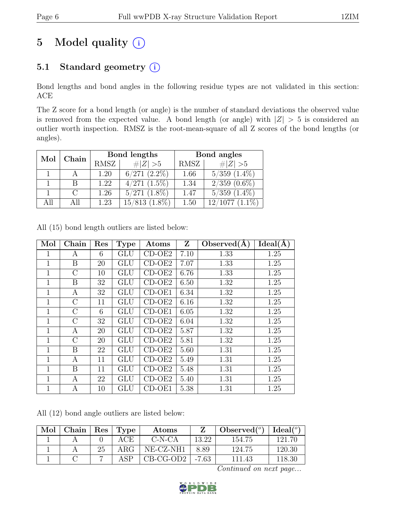# 5 Model quality  $(i)$

### 5.1 Standard geometry (i)

Bond lengths and bond angles in the following residue types are not validated in this section: ACE

The Z score for a bond length (or angle) is the number of standard deviations the observed value is removed from the expected value. A bond length (or angle) with  $|Z| > 5$  is considered an outlier worth inspection. RMSZ is the root-mean-square of all Z scores of the bond lengths (or angles).

| Mol | Chain    |      | Bond lengths       | Bond angles |                   |  |
|-----|----------|------|--------------------|-------------|-------------------|--|
|     |          | RMSZ | $\# Z  > 5$        | RMSZ        | $\ Z\  > 5$       |  |
|     |          | 1.20 | $6/271$ $(2.2\%)$  | 1.66        | $5/359$ $(1.4\%)$ |  |
|     |          | 1.22 | $4/271$ $(1.5\%)$  | 1.34        | $2/359(0.6\%)$    |  |
|     | $\Gamma$ | 1.26 | $5/271$ $(1.8\%)$  | 1.47        | $5/359$ $(1.4\%)$ |  |
| All | All      | 1.23 | $15/813$ $(1.8\%)$ | 1.50        | $12/1077(1.1\%)$  |  |

| Mol            | Chain   | Res | <b>Type</b> | Atoms                      | Z    | Observed $(A)$ | Ideal(A) |
|----------------|---------|-----|-------------|----------------------------|------|----------------|----------|
| 1              | А       | 6   | GLU         | CD-OE2                     | 7.10 | 1.33           | 1.25     |
| $\mathbf{1}$   | B       | 20  | GLU         | $CD-OE2$                   | 7.07 | 1.33           | 1.25     |
| $\mathbf{1}$   | $\rm C$ | 10  | GLU         | $CD-OE2$                   | 6.76 | 1.33           | 1.25     |
| 1              | B       | 32  | GLU         | $CD-OE2$                   | 6.50 | 1.32           | 1.25     |
| $\overline{1}$ | A       | 32  | GLU         | $CD-OE1$                   | 6.34 | 1.32           | 1.25     |
| $\mathbf{1}$   | $\rm C$ | 11  | GLU         | $CD-OE2$                   | 6.16 | 1.32           | 1.25     |
| 1              | $\rm C$ | 6   | GLU         | $CD-OE1$                   | 6.05 | 1.32           | 1.25     |
| $\mathbf{1}$   | $\rm C$ | 32  | GLU         | $CD-OE2$                   | 6.04 | 1.32           | 1.25     |
| $\mathbf 1$    | A       | 20  | GLU         | $\overline{\text{CD-OE2}}$ | 5.87 | 1.32           | 1.25     |
| $\mathbf{1}$   | $\rm C$ | 20  | GLU         | $CD-OE2$                   | 5.81 | 1.32           | 1.25     |
| 1              | B       | 22  | GLU         | $CD-OE2$                   | 5.60 | 1.31           | 1.25     |
| $\mathbf 1$    | A       | 11  | GLU         | $CD-OE2$                   | 5.49 | 1.31           | 1.25     |
| $\mathbf{1}$   | B       | 11  | GLU         | $\overline{\text{CD-OE2}}$ | 5.48 | 1.31           | 1.25     |
| 1              | А       | 22  | GLU         | $CD-OE2$                   | 5.40 | 1.31           | 1.25     |
| $\mathbf{1}$   | Α       | 10  | GLU         | CD-OE1                     | 5.38 | 1.31           | 1.25     |

All (15) bond length outliers are listed below:

All (12) bond angle outliers are listed below:

| Mol | Chain | $\operatorname{Res}$ | Type | Atoms       |         | Observed $(°)$ | $Ideal(^o)$ |
|-----|-------|----------------------|------|-------------|---------|----------------|-------------|
|     |       |                      | ACE  | $C-N-CA$    | 13.22   | 154.75         | 121.70      |
|     |       | 25                   | ARG  | NE-CZ-NH1   | 8.89    | 124.75         | 120.30      |
|     |       |                      | ΔSΡ  | $CB-CG-OD2$ | $-7.63$ | 111.43         | 118.30      |

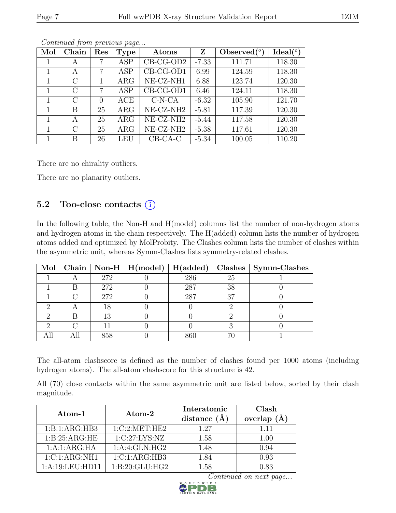| Mol | Chain         | Res      | <b>Type</b> | Atoms                                | $\mathbf{Z}$ | Observed $\binom{o}{c}$ | $Ideal(^o)$ |
|-----|---------------|----------|-------------|--------------------------------------|--------------|-------------------------|-------------|
|     | А             |          | ASP         | $CB-CG-OD2$                          | $-7.33$      | 111.71                  | 118.30      |
| 1   | А             |          | ASP         | $CB-CG-OD1$                          | 6.99         | 124.59                  | 118.30      |
|     | C             |          | $\rm{ARG}$  | $\overline{\text{NE-}\text{CZ-NH1}}$ | 6.88         | 123.74                  | 120.30      |
|     | $\mathcal{C}$ | 7        | ASP         | CB-CG-OD1                            | 6.46         | 124.11                  | 118.30      |
|     | С             | $\Omega$ | ACE         | $C-N-CA$                             | $-6.32$      | 105.90                  | 121.70      |
|     | В             | 25       | $\rm{ARG}$  | $NE- CZ-NH2$                         | $-5.81$      | 117.39                  | 120.30      |
|     | A             | 25       | ARG         | NE-CZ-NH <sub>2</sub>                | $-5.44$      | 117.58                  | 120.30      |
|     | C             | 25       | $\rm{ARG}$  | NE-CZ-NH <sub>2</sub>                | $-5.38$      | 117.61                  | 120.30      |
|     | В             | 26       | LEU         | $CB-CA-C$                            | $-5.34$      | 100.05                  | 110.20      |

Continued from previous page...

There are no chirality outliers.

There are no planarity outliers.

### 5.2 Too-close contacts (i)

In the following table, the Non-H and H(model) columns list the number of non-hydrogen atoms and hydrogen atoms in the chain respectively. The H(added) column lists the number of hydrogen atoms added and optimized by MolProbity. The Clashes column lists the number of clashes within the asymmetric unit, whereas Symm-Clashes lists symmetry-related clashes.

|  |     |     |    | Mol   Chain   Non-H   H(model)   H(added)   Clashes   Symm-Clashes |
|--|-----|-----|----|--------------------------------------------------------------------|
|  | 272 | 286 | 25 |                                                                    |
|  | 272 | 287 | 38 |                                                                    |
|  | 272 | 287 | 37 |                                                                    |
|  | 18  |     |    |                                                                    |
|  | 13  |     |    |                                                                    |
|  |     |     |    |                                                                    |
|  | 858 |     |    |                                                                    |

The all-atom clashscore is defined as the number of clashes found per 1000 atoms (including hydrogen atoms). The all-atom clashscore for this structure is 42.

All (70) close contacts within the same asymmetric unit are listed below, sorted by their clash magnitude.

| Atom-1          | Atom-2                     | Interatomic<br>distance $(A)$ | Clash<br>overlap $(A)$ |
|-----------------|----------------------------|-------------------------------|------------------------|
| 1:B:1:ARG:HB3   | 1:C:2:MET:HE2              | 1.27                          | 1.11                   |
| 1:B:25:ARG:HE   | 1:C:27:LYS:NZ              | 1.58                          | 1.00                   |
| 1:A:1:ARG:HA    | $1:A:4:GLN:\overline{HG2}$ | 1.48                          | 0.94                   |
| 1:C:1:ARG:NH1   | 1:C:1:ARG:HB3              | 1.84                          | 0.93                   |
| 1:A:19:LEU:HD11 | 1: B:20: GLU: HG2          | 1.58                          | (1.83)                 |

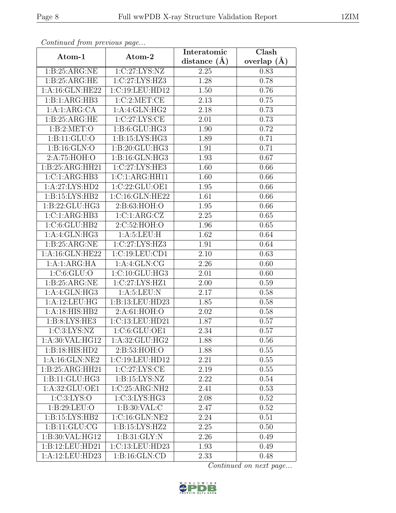| Continued from previous page<br>Clash<br>Interatomic |                            |                   |                   |  |
|------------------------------------------------------|----------------------------|-------------------|-------------------|--|
| Atom-1                                               | Atom-2                     | distance $(A)$    | overlap $(\AA)$   |  |
| 1:B:25:ARG:NE                                        | 1:C:27:LYS:NZ              | 2.25              | 0.83              |  |
| 1:B:25:ARG:HE                                        | 1:C:27:LYS:HZ3             | 1.28              | 0.78              |  |
| 1:A:16:GLN:HE22                                      | 1:C:19:LEU:HD12            | 1.50              | 0.76              |  |
| 1:B:1:ARG:HB3                                        | 1:C:2:MET:CE               | 2.13              | 0.75              |  |
| 1:A:1:ARG:CA                                         | $1:A:4:\overline{GLN:HG2}$ | 2.18              | 0.73              |  |
| 1:B:25:ARG:HE                                        | 1:C:27:LYS:CE              | 2.01              | 0.73              |  |
| 1: B:2: MET:O                                        | 1:B:6:GLU:HG3              | 1.90              | 0.72              |  |
| 1:B:11:GLU:O                                         | 1: B: 15: LYS: HG3         | 1.89              | 0.71              |  |
| 1: B: 16: GLN:O                                      | 1:B:20:GLU:HG3             | 1.91              | 0.71              |  |
| 2:A:75:HOH:O                                         | 1:B:16:GLN:HG3             | 1.93              | 0.67              |  |
| 1:B:25:ARG:HH21                                      | 1:C:27:LYS:HE3             | 1.60              | 0.66              |  |
| 1:C:1:ARG:HB3                                        | 1:C:1:ARG:HH11             | 1.60              | 0.66              |  |
| 1:A:27:LYS:HD2                                       | 1:C:22:CLU:OE1             | 1.95              | 0.66              |  |
| 1:B:15:LYS:HB2                                       | 1:C:16:GLN:HE22            | 1.61              | 0.66              |  |
| 1:B:22:GLU:HG3                                       | 2:B:63:HOH:O               | 1.95              | 0.66              |  |
| 1:C:1:ARG:HB3                                        | 1:C:1:ARG:CZ               | 2.25              | 0.65              |  |
| 1:C:6:GLU:HB2                                        | 2:C:52:HOH:O               | 1.96              | 0.65              |  |
| 1:A:4:GLN:HG3                                        | 1: A: 5: LEU: H            | 1.62              | 0.64              |  |
| 1:B:25:ARG:NE                                        | 1:C:27:LYS:HZ3             | 1.91              | 0.64              |  |
| 1:A:16:GLN:HE22                                      | 1:C:19:LEU:CD1             | 2.10              | 0.63              |  |
| 1:A:1:ARG:HA                                         | 1:A:4:GLN:CG               | 2.26              | 0.60              |  |
| 1:C:6:GLU:O                                          | 1:C:10:GLU:HG3             | 2.01              | 0.60              |  |
| 1:B:25:ARG:NE                                        | 1:C:27:LYS:HZ1             | 2.00              | 0.59              |  |
| $1:A:\overline{4:GLN:HG3}$                           | 1: A:5: LEU: N             | 2.17              | 0.58              |  |
| 1:A:12:LEU:HG                                        | 1:B:13:LEU:HD23            | 1.85              | 0.58              |  |
| 1:A:18:HIS:HB2                                       | 2:A:61:HOH:O               | 2.02              | 0.58              |  |
| 1: B:8: LYS: HE3                                     | 1:C:13:LEU:HD21            | 1.87              | $0.5\overline{7}$ |  |
| 1:C:3:LYS:NZ                                         | 1:C:6:GLU:OE1              | $\overline{2.34}$ | 0.57              |  |
| 1:A:30:VAL:HG12                                      | 1:A:32:GLU:HG2             | 1.88              | 0.56              |  |
| 1:B:18:HIS:HD2                                       | 2:B:53:HOH:O               | 1.88              | 0.55              |  |
| 1:A:16:GLN:NE2                                       | 1:C:19:LEU:HD12            | 2.21              | 0.55              |  |
| $1:B:25:A\overline{\text{RG:HH}21}$                  | 1:C:27:LYS:CE              | 2.19              | 0.55              |  |
| $1:B:11:GLU:\overline{HG3}$                          | 1: B: 15: LYS: NZ          | 2.22              | 0.54              |  |
| 1:A:32:GLU:OE1                                       | 1:C:25:ARG:NH2             | 2.41              | 0.53              |  |
| 1:C:3:LYS:O                                          | 1: C:3: LYS: HG3           | 2.08              | 0.52              |  |
| 1: B:29: LEU:O                                       | 1:B:30:VAL:C               | 2.47              | 0.52              |  |
| 1:B:15:LYS:HB2                                       | 1:C:16:GLN:NE2             | 2.24              | 0.51              |  |
| 1: B: 11: GLU: CG                                    | 1:B:15:LYS:HZ2             | 2.25              | 0.50              |  |
| 1:B:30:VAL:HG12                                      | 1: B:31: GLY:N             | 2.26              | 0.49              |  |
| 1:B:12:LEU:HD21                                      | 1:C:13:LEU:HD23            | 1.93              | 0.49              |  |
| 1:A:12:LEU:HD23                                      | 1: B: 16: GLN: CD          | 2.33              | 0.48              |  |

Continued from previous page.

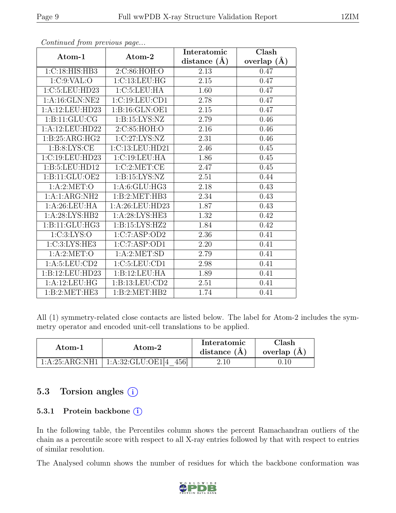|                   |                    | Interatomic      | Clash           |
|-------------------|--------------------|------------------|-----------------|
| Atom-1            | Atom-2             | distance $(\AA)$ | overlap $(\AA)$ |
| 1:C:18:HIS:HB3    | 2:C:86:HOH:O       | 2.13             | 0.47            |
| 1:C:9:VAL:O       | 1:C:13:LEU:HG      | 2.15             | 0.47            |
| 1:C:5:LEU:HD23    | 1:C:5:LEU:HA       | 1.60             | 0.47            |
| 1:A:16:GLN:NE2    | 1:C:19:LEU:CD1     | 2.78             | 0.47            |
| 1:A:12:LEU:HD23   | 1: B:16: GLN:OE1   | 2.15             | 0.47            |
| 1:B:11:GLU:CG     | 1: B: 15: LYS: NZ  | 2.79             | 0.46            |
| 1:A:12:LEU:HD22   | 2:C:85:HOH:O       | 2.16             | 0.46            |
| 1: B:25: ARG:HG2  | 1:C:27:LYS:NZ      | 2.31             | 0.46            |
| 1: B:8: LYS: CE   | 1:C:13:LEU:HD21    | 2.46             | 0.45            |
| 1:C:19:LEU:HD23   | 1:C:19:LEU:HA      | 1.86             | 0.45            |
| 1:B:5:LEU:HD12    | 1:C:2:MET:CE       | 2.47             | 0.45            |
| 1:B:11:GLU:OE2    | 1: B: 15: LYS: NZ  | 2.51             | 0.44            |
| 1: A:2: MET:O     | 1:A:6:GLU:HG3      | 2.18             | 0.43            |
| 1:A:1:ARG:NH2     | 1:B:2:MET:HB3      | 2.34             | 0.43            |
| 1: A:26:LEU:HA    | 1:A:26:LEU:HD23    | 1.87             | 0.43            |
| 1: A:28: LYS: HB2 | 1: A:28: LYS: HE3  | 1.32             | 0.42            |
| 1:B:11:GLU:HG3    | 1:B:15:LYS:HZ2     | 1.84             | 0.42            |
| 1:C:3:LYS:O       | 1:C:7:ASP:OD2      | 2.36             | 0.41            |
| 1:C:3:LYS:HE3     | 1:C:7:ASP:OD1      | 2.20             | 0.41            |
| 1: A:2: MET:O     | 1: A:2: MET:SD     | 2.79             | 0.41            |
| 1: A:5: LEU: CD2  | 1:C:5:LEU:CD1      | 2.98             | 0.41            |
| 1:B:12:LEU:HD23   | 1:B:12:LEU:HA      | 1.89             | 0.41            |
| 1:A:12:LEU:HG     | 1: B: 13: LEU: CD2 | 2.51             | 0.41            |
| 1: B:2: MET:HE3   | 1:B:2:MET:HB2      | 1.74             | 0.41            |

Continued from previous page...

All (1) symmetry-related close contacts are listed below. The label for Atom-2 includes the symmetry operator and encoded unit-cell translations to be applied.

| Atom-1         | Atom-2                                       | Interatomic<br>distance $(A)$ | $\gamma$ lash<br>overlap $(A)$ |
|----------------|----------------------------------------------|-------------------------------|--------------------------------|
| 1:A:25:ARG:NH1 | 456<br>$1:\mathrm{A}:32:\mathrm{GLU}:OE1[4]$ |                               |                                |

### 5.3 Torsion angles  $(i)$

#### 5.3.1 Protein backbone ①

In the following table, the Percentiles column shows the percent Ramachandran outliers of the chain as a percentile score with respect to all X-ray entries followed by that with respect to entries of similar resolution.

The Analysed column shows the number of residues for which the backbone conformation was

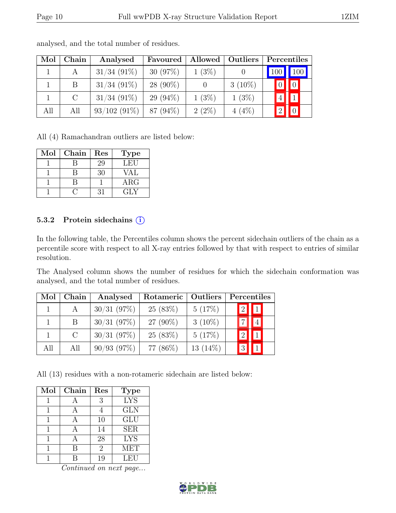| Mol | Chain         | Analysed       | Favoured   | Allowed  | Outliers  | Percentiles |                                        |
|-----|---------------|----------------|------------|----------|-----------|-------------|----------------------------------------|
|     | A             | $31/34$ (91\%) | 30(97%)    | $1(3\%)$ |           | 100         | $\vert$ 100 $\vert$                    |
|     | B             | $31/34$ (91\%) | $28(90\%)$ |          | $3(10\%)$ |             | $\begin{bmatrix} 0 \\ 0 \end{bmatrix}$ |
|     | $\mathcal{C}$ | $31/34$ (91\%) | $29(94\%)$ | $1(3\%)$ | $1(3\%)$  | $4\vert$    | 1                                      |
| All | All           | $93/102(91\%)$ | 87 (94\%)  | $2(2\%)$ | $4(4\%)$  | 2           | $\boxed{0}$                            |

analysed, and the total number of residues.

All (4) Ramachandran outliers are listed below:

| Mol | Chain | Res | <b>Type</b> |
|-----|-------|-----|-------------|
|     |       | 29  | LEU         |
|     |       | 30  | VAL         |
|     |       |     | $\rm{ARG}$  |
|     |       | 31  | GLY         |

#### 5.3.2 Protein sidechains (i)

In the following table, the Percentiles column shows the percent sidechain outliers of the chain as a percentile score with respect to all X-ray entries followed by that with respect to entries of similar resolution.

The Analysed column shows the number of residues for which the sidechain conformation was analysed, and the total number of residues.

| Mol | Chain   | Analysed       | Rotameric  | Outliers   | Percentiles        |
|-----|---------|----------------|------------|------------|--------------------|
|     |         | $30/31$ (97\%) | 25(83%)    | 5(17%)     | $\boxed{2}$        |
|     | B       | $30/31$ (97\%) | $27(90\%)$ | $3(10\%)$  |                    |
|     | $\rm C$ | $30/31$ (97%)  | 25(83%)    | 5(17%)     | 11<br><u>၊ ၁ ၊</u> |
| All | All     | 90/93(97%)     | 77 (86%)   | 13 $(14%)$ |                    |

All (13) residues with a non-rotameric sidechain are listed below:

| Mol | Chain | Res            | <b>Type</b> |
|-----|-------|----------------|-------------|
|     |       | 3              | <b>LYS</b>  |
|     |       |                | <b>GLN</b>  |
|     |       | 10             | GLU         |
|     |       | 14             | <b>SER</b>  |
|     |       | 28             | <b>LYS</b>  |
|     | R     | $\overline{2}$ | <b>MET</b>  |
|     |       | 19             | LEU         |

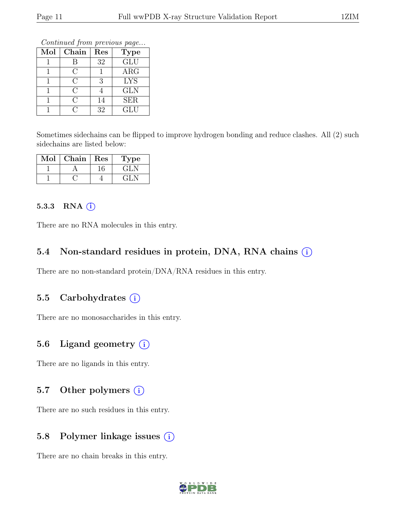Continued from previous page...

| Mol | Chain | Res | <b>Type</b>             |
|-----|-------|-----|-------------------------|
|     | B     | 32  | GLU                     |
|     | C     |     | ARG                     |
|     | C     | 3   | <b>LYS</b>              |
|     | ( )   |     | <b>GLN</b>              |
|     | ( )   | 14  | $\overline{\text{SER}}$ |
|     |       | 32  | GLU                     |

Sometimes sidechains can be flipped to improve hydrogen bonding and reduce clashes. All (2) such sidechains are listed below:

| Mol | Chain | Res | <b>Type</b> |
|-----|-------|-----|-------------|
|     |       | 6   | GL          |
|     |       |     |             |

#### 5.3.3 RNA  $(i)$

There are no RNA molecules in this entry.

#### 5.4 Non-standard residues in protein, DNA, RNA chains  $\circ$

There are no non-standard protein/DNA/RNA residues in this entry.

#### 5.5 Carbohydrates  $(i)$

There are no monosaccharides in this entry.

#### 5.6 Ligand geometry  $(i)$

There are no ligands in this entry.

#### 5.7 Other polymers (i)

There are no such residues in this entry.

#### 5.8 Polymer linkage issues (i)

There are no chain breaks in this entry.